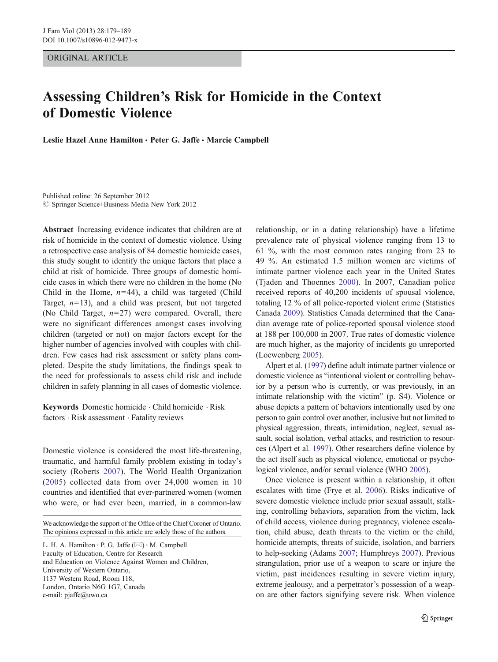ORIGINAL ARTICLE

# Assessing Children's Risk for Homicide in the Context of Domestic Violence

Leslie Hazel Anne Hamilton • Peter G. Jaffe • Marcie Campbell

Published online: 26 September 2012  $\circledcirc$  Springer Science+Business Media New York 2012

Abstract Increasing evidence indicates that children are at risk of homicide in the context of domestic violence. Using a retrospective case analysis of 84 domestic homicide cases, this study sought to identify the unique factors that place a child at risk of homicide. Three groups of domestic homicide cases in which there were no children in the home (No Child in the Home,  $n=44$ ), a child was targeted (Child Target,  $n=13$ ), and a child was present, but not targeted (No Child Target,  $n=27$ ) were compared. Overall, there were no significant differences amongst cases involving children (targeted or not) on major factors except for the higher number of agencies involved with couples with children. Few cases had risk assessment or safety plans completed. Despite the study limitations, the findings speak to the need for professionals to assess child risk and include children in safety planning in all cases of domestic violence.

Keywords Domestic homicide . Child homicide . Risk factors . Risk assessment . Fatality reviews

Domestic violence is considered the most life-threatening, traumatic, and harmful family problem existing in today's society (Roberts [2007](#page-10-0)). The World Health Organization [\(2005\)](#page-10-0) collected data from over 24,000 women in 10 countries and identified that ever-partnered women (women who were, or had ever been, married, in a common-law

We acknowledge the support of the Office of the Chief Coroner of Ontario. The opinions expressed in this article are solely those of the authors.

L. H. A. Hamilton  $\cdot$  P. G. Jaffe ( $\boxtimes) \cdot$  M. Campbell Faculty of Education, Centre for Research and Education on Violence Against Women and Children, University of Western Ontario, 1137 Western Road, Room 118, London, Ontario N6G 1G7, Canada e-mail: pjaffe@uwo.ca

relationship, or in a dating relationship) have a lifetime prevalence rate of physical violence ranging from 13 to 61 %, with the most common rates ranging from 23 to 49 %. An estimated 1.5 million women are victims of intimate partner violence each year in the United States (Tjaden and Thoennes [2000\)](#page-10-0). In 2007, Canadian police received reports of 40,200 incidents of spousal violence, totaling 12 % of all police-reported violent crime (Statistics Canada [2009](#page-10-0)). Statistics Canada determined that the Canadian average rate of police-reported spousal violence stood at 188 per 100,000 in 2007. True rates of domestic violence are much higher, as the majority of incidents go unreported (Loewenberg [2005\)](#page-10-0).

Alpert et al. [\(1997\)](#page-9-0) define adult intimate partner violence or domestic violence as "intentional violent or controlling behavior by a person who is currently, or was previously, in an intimate relationship with the victim" (p. S4). Violence or abuse depicts a pattern of behaviors intentionally used by one person to gain control over another, inclusive but not limited to physical aggression, threats, intimidation, neglect, sexual assault, social isolation, verbal attacks, and restriction to resources (Alpert et al. [1997](#page-9-0)). Other researchers define violence by the act itself such as physical violence, emotional or psychological violence, and/or sexual violence (WHO [2005](#page-10-0)).

Once violence is present within a relationship, it often escalates with time (Frye et al. [2006\)](#page-9-0). Risks indicative of severe domestic violence include prior sexual assault, stalking, controlling behaviors, separation from the victim, lack of child access, violence during pregnancy, violence escalation, child abuse, death threats to the victim or the child, homicide attempts, threats of suicide, isolation, and barriers to help-seeking (Adams [2007](#page-9-0); Humphreys [2007\)](#page-9-0). Previous strangulation, prior use of a weapon to scare or injure the victim, past incidences resulting in severe victim injury, extreme jealousy, and a perpetrator's possession of a weapon are other factors signifying severe risk. When violence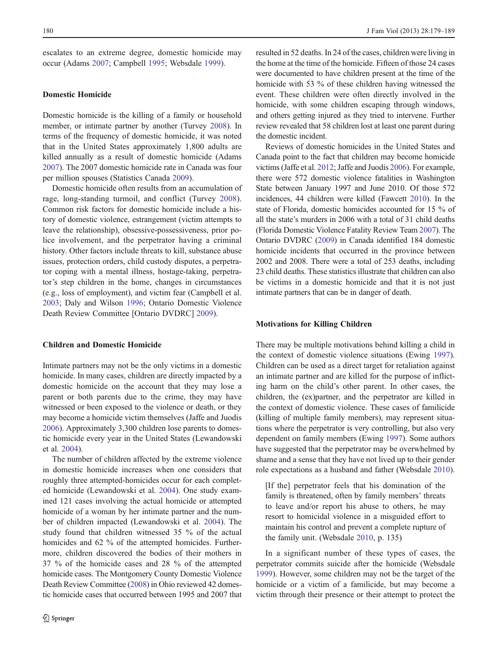escalates to an extreme degree, domestic homicide may occur (Adams [2007](#page-9-0); Campbell [1995](#page-9-0); Websdale [1999](#page-10-0)).

#### Domestic Homicide

Domestic homicide is the killing of a family or household member, or intimate partner by another (Turvey [2008](#page-10-0)). In terms of the frequency of domestic homicide, it was noted that in the United States approximately 1,800 adults are killed annually as a result of domestic homicide (Adams [2007\)](#page-9-0). The 2007 domestic homicide rate in Canada was four per million spouses (Statistics Canada [2009](#page-10-0)).

Domestic homicide often results from an accumulation of rage, long-standing turmoil, and conflict (Turvey [2008](#page-10-0)). Common risk factors for domestic homicide include a history of domestic violence, estrangement (victim attempts to leave the relationship), obsessive-possessiveness, prior police involvement, and the perpetrator having a criminal history. Other factors include threats to kill, substance abuse issues, protection orders, child custody disputes, a perpetrator coping with a mental illness, hostage-taking, perpetrator's step children in the home, changes in circumstances (e.g., loss of employment), and victim fear (Campbell et al. [2003;](#page-9-0) Daly and Wilson [1996](#page-9-0); Ontario Domestic Violence Death Review Committee [Ontario DVDRC] [2009](#page-10-0)).

#### Children and Domestic Homicide

Intimate partners may not be the only victims in a domestic homicide. In many cases, children are directly impacted by a domestic homicide on the account that they may lose a parent or both parents due to the crime, they may have witnessed or been exposed to the violence or death, or they may become a homicide victim themselves (Jaffe and Juodis [2006\)](#page-9-0). Approximately 3,300 children lose parents to domestic homicide every year in the United States (Lewandowski et al. [2004\)](#page-10-0).

The number of children affected by the extreme violence in domestic homicide increases when one considers that roughly three attempted-homicides occur for each completed homicide (Lewandowski et al. [2004](#page-10-0)). One study examined 121 cases involving the actual homicide or attempted homicide of a woman by her intimate partner and the number of children impacted (Lewandowski et al. [2004](#page-10-0)). The study found that children witnessed 35 % of the actual homicides and 62 % of the attempted homicides. Furthermore, children discovered the bodies of their mothers in 37 % of the homicide cases and 28 % of the attempted homicide cases. The Montgomery County Domestic Violence Death Review Committee ([2008](#page-10-0)) in Ohio reviewed 42 domestic homicide cases that occurred between 1995 and 2007 that resulted in 52 deaths. In 24 of the cases, children were living in the home at the time of the homicide. Fifteen of those 24 cases were documented to have children present at the time of the homicide with 53 % of these children having witnessed the event. These children were often directly involved in the homicide, with some children escaping through windows, and others getting injured as they tried to intervene. Further review revealed that 58 children lost at least one parent during the domestic incident.

Reviews of domestic homicides in the United States and Canada point to the fact that children may become homicide victims (Jaffe et al. [2012](#page-10-0); Jaffe and Juodis [2006](#page-9-0)). For example, there were 572 domestic violence fatalities in Washington State between January 1997 and June 2010. Of those 572 incidences, 44 children were killed (Fawcett [2010](#page-9-0)). In the state of Florida, domestic homicides accounted for 15 % of all the state's murders in 2006 with a total of 31 child deaths (Florida Domestic Violence Fatality Review Team [2007](#page-9-0)). The Ontario DVDRC [\(2009\)](#page-10-0) in Canada identified 184 domestic homicide incidents that occurred in the province between 2002 and 2008. There were a total of 253 deaths, including 23 child deaths. These statistics illustrate that children can also be victims in a domestic homicide and that it is not just intimate partners that can be in danger of death.

#### Motivations for Killing Children

There may be multiple motivations behind killing a child in the context of domestic violence situations (Ewing [1997\)](#page-9-0). Children can be used as a direct target for retaliation against an intimate partner and are killed for the purpose of inflicting harm on the child's other parent. In other cases, the children, the (ex)partner, and the perpetrator are killed in the context of domestic violence. These cases of familicide (killing of multiple family members), may represent situations where the perpetrator is very controlling, but also very dependent on family members (Ewing [1997](#page-9-0)). Some authors have suggested that the perpetrator may be overwhelmed by shame and a sense that they have not lived up to their gender role expectations as a husband and father (Websdale [2010\)](#page-10-0).

[If the] perpetrator feels that his domination of the family is threatened, often by family members' threats to leave and/or report his abuse to others, he may resort to homicidal violence in a misguided effort to maintain his control and prevent a complete rupture of the family unit. (Websdale [2010,](#page-10-0) p. 135)

In a significant number of these types of cases, the perpetrator commits suicide after the homicide (Websdale [1999](#page-10-0)). However, some children may not be the target of the homicide or a victim of a familicide, but may become a victim through their presence or their attempt to protect the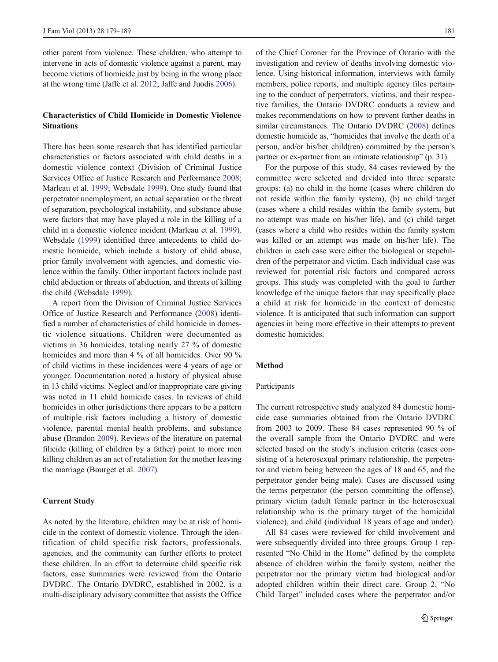other parent from violence. These children, who attempt to intervene in acts of domestic violence against a parent, may become victims of homicide just by being in the wrong place at the wrong time (Jaffe et al. [2012;](#page-10-0) Jaffe and Juodis [2006\)](#page-9-0).

## Characteristics of Child Homicide in Domestic Violence Situations

There has been some research that has identified particular characteristics or factors associated with child deaths in a domestic violence context (Division of Criminal Justice Services Office of Justice Research and Performance [2008](#page-9-0); Marleau et al. [1999](#page-10-0); Websdale [1999\)](#page-10-0). One study found that perpetrator unemployment, an actual separation or the threat of separation, psychological instability, and substance abuse were factors that may have played a role in the killing of a child in a domestic violence incident (Marleau et al. [1999](#page-10-0)). Websdale ([1999\)](#page-10-0) identified three antecedents to child domestic homicide, which include a history of child abuse, prior family involvement with agencies, and domestic violence within the family. Other important factors include past child abduction or threats of abduction, and threats of killing the child (Websdale [1999](#page-10-0)).

A report from the Division of Criminal Justice Services Office of Justice Research and Performance ([2008\)](#page-9-0) identified a number of characteristics of child homicide in domestic violence situations. Children were documented as victims in 36 homicides, totaling nearly 27 % of domestic homicides and more than 4 % of all homicides. Over 90 % of child victims in these incidences were 4 years of age or younger. Documentation noted a history of physical abuse in 13 child victims. Neglect and/or inappropriate care giving was noted in 11 child homicide cases. In reviews of child homicides in other jurisdictions there appears to be a pattern of multiple risk factors including a history of domestic violence, parental mental health problems, and substance abuse (Brandon [2009](#page-9-0)). Reviews of the literature on paternal filicide (killing of children by a father) point to more men killing children as an act of retaliation for the mother leaving the marriage (Bourget et al. [2007\)](#page-9-0).

#### Current Study

As noted by the literature, children may be at risk of homicide in the context of domestic violence. Through the identification of child specific risk factors, professionals, agencies, and the community can further efforts to protect these children. In an effort to determine child specific risk factors, case summaries were reviewed from the Ontario DVDRC. The Ontario DVDRC, established in 2002, is a multi-disciplinary advisory committee that assists the Office of the Chief Coroner for the Province of Ontario with the investigation and review of deaths involving domestic violence. Using historical information, interviews with family members, police reports, and multiple agency files pertaining to the conduct of perpetrators, victims, and their respective families, the Ontario DVDRC conducts a review and makes recommendations on how to prevent further deaths in similar circumstances. The Ontario DVDRC [\(2008\)](#page-10-0) defines domestic homicide as, "homicides that involve the death of a person, and/or his/her child(ren) committed by the person's partner or ex-partner from an intimate relationship" (p. 31).

For the purpose of this study, 84 cases reviewed by the committee were selected and divided into three separate groups: (a) no child in the home (cases where children do not reside within the family system), (b) no child target (cases where a child resides within the family system, but no attempt was made on his/her life), and (c) child target (cases where a child who resides within the family system was killed or an attempt was made on his/her life). The children in each case were either the biological or stepchildren of the perpetrator and victim. Each individual case was reviewed for potential risk factors and compared across groups. This study was completed with the goal to further knowledge of the unique factors that may specifically place a child at risk for homicide in the context of domestic violence. It is anticipated that such information can support agencies in being more effective in their attempts to prevent domestic homicides.

#### Method

#### Participants

The current retrospective study analyzed 84 domestic homicide case summaries obtained from the Ontario DVDRC from 2003 to 2009. These 84 cases represented 90 % of the overall sample from the Ontario DVDRC and were selected based on the study's inclusion criteria (cases consisting of a heterosexual primary relationship, the perpetrator and victim being between the ages of 18 and 65, and the perpetrator gender being male). Cases are discussed using the terms perpetrator (the person committing the offense), primary victim (adult female partner in the heterosexual relationship who is the primary target of the homicidal violence), and child (individual 18 years of age and under).

All 84 cases were reviewed for child involvement and were subsequently divided into three groups. Group 1 represented "No Child in the Home" defined by the complete absence of children within the family system, neither the perpetrator nor the primary victim had biological and/or adopted children within their direct care. Group 2, "No Child Target" included cases where the perpetrator and/or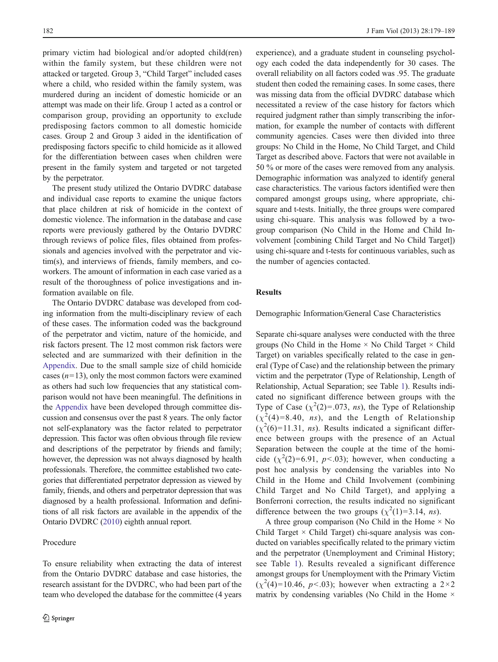primary victim had biological and/or adopted child(ren) within the family system, but these children were not attacked or targeted. Group 3, "Child Target" included cases where a child, who resided within the family system, was murdered during an incident of domestic homicide or an attempt was made on their life. Group 1 acted as a control or comparison group, providing an opportunity to exclude predisposing factors common to all domestic homicide cases. Group 2 and Group 3 aided in the identification of predisposing factors specific to child homicide as it allowed for the differentiation between cases when children were present in the family system and targeted or not targeted by the perpetrator.

The present study utilized the Ontario DVDRC database and individual case reports to examine the unique factors that place children at risk of homicide in the context of domestic violence. The information in the database and case reports were previously gathered by the Ontario DVDRC through reviews of police files, files obtained from professionals and agencies involved with the perpetrator and victim(s), and interviews of friends, family members, and coworkers. The amount of information in each case varied as a result of the thoroughness of police investigations and information available on file.

The Ontario DVDRC database was developed from coding information from the multi-disciplinary review of each of these cases. The information coded was the background of the perpetrator and victim, nature of the homicide, and risk factors present. The 12 most common risk factors were selected and are summarized with their definition in the [Appendix](#page-8-0). Due to the small sample size of child homicide cases  $(n=13)$ , only the most common factors were examined as others had such low frequencies that any statistical comparison would not have been meaningful. The definitions in the [Appendix](#page-8-0) have been developed through committee discussion and consensus over the past 8 years. The only factor not self-explanatory was the factor related to perpetrator depression. This factor was often obvious through file review and descriptions of the perpetrator by friends and family; however, the depression was not always diagnosed by health professionals. Therefore, the committee established two categories that differentiated perpetrator depression as viewed by family, friends, and others and perpetrator depression that was diagnosed by a health professional. Information and definitions of all risk factors are available in the appendix of the Ontario DVDRC [\(2010\)](#page-10-0) eighth annual report.

#### Procedure

To ensure reliability when extracting the data of interest from the Ontario DVDRC database and case histories, the research assistant for the DVDRC, who had been part of the team who developed the database for the committee (4 years experience), and a graduate student in counseling psychology each coded the data independently for 30 cases. The overall reliability on all factors coded was .95. The graduate student then coded the remaining cases. In some cases, there was missing data from the official DVDRC database which necessitated a review of the case history for factors which required judgment rather than simply transcribing the information, for example the number of contacts with different community agencies. Cases were then divided into three groups: No Child in the Home, No Child Target, and Child Target as described above. Factors that were not available in 50 % or more of the cases were removed from any analysis. Demographic information was analyzed to identify general case characteristics. The various factors identified were then compared amongst groups using, where appropriate, chisquare and t-tests. Initially, the three groups were compared using chi-square. This analysis was followed by a twogroup comparison (No Child in the Home and Child Involvement [combining Child Target and No Child Target]) using chi-square and t-tests for continuous variables, such as the number of agencies contacted.

#### Results

#### Demographic Information/General Case Characteristics

Separate chi-square analyses were conducted with the three groups (No Child in the Home  $\times$  No Child Target  $\times$  Child Target) on variables specifically related to the case in general (Type of Case) and the relationship between the primary victim and the perpetrator (Type of Relationship, Length of Relationship, Actual Separation; see Table [1\)](#page-4-0). Results indicated no significant difference between groups with the Type of Case ( $\chi^2(2)=0.073$ , *ns*), the Type of Relationship  $(\chi^2(4)=8.40, ns)$ , and the Length of Relationship  $(\chi^2(6)=11.31, ns)$ . Results indicated a significant difference between groups with the presence of an Actual Separation between the couple at the time of the homicide  $(\chi^2(2)=6.91, p<0.03)$ ; however, when conducting a post hoc analysis by condensing the variables into No Child in the Home and Child Involvement (combining Child Target and No Child Target), and applying a Bonferroni correction, the results indicated no significant difference between the two groups  $(\chi^2(1)=3.14, ns)$ .

A three group comparison (No Child in the Home × No Child Target  $\times$  Child Target) chi-square analysis was conducted on variables specifically related to the primary victim and the perpetrator (Unemployment and Criminal History; see Table [1](#page-4-0)). Results revealed a significant difference amongst groups for Unemployment with the Primary Victim  $(\chi^2(4)=10.46, p<0.03)$ ; however when extracting a 2×2 matrix by condensing variables (No Child in the Home  $\times$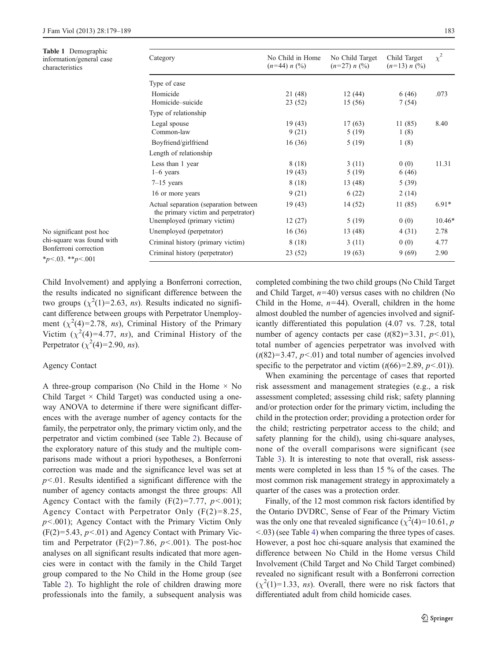<span id="page-4-0"></span>

| <b>Table 1</b> Demographic<br>information/general case<br>characteristics                                   | Category                                                                     | No Child in Home<br>$(n=44) n$ (%) | No Child Target<br>$(n=27) n$ (%) | Child Target<br>$(n=13) n$ (%) | $\chi^2$ |
|-------------------------------------------------------------------------------------------------------------|------------------------------------------------------------------------------|------------------------------------|-----------------------------------|--------------------------------|----------|
|                                                                                                             | Type of case                                                                 |                                    |                                   |                                |          |
|                                                                                                             | Homicide<br>Homicide-suicide                                                 | 21 (48)<br>23(52)                  | 12(44)<br>15(56)                  | 6(46)<br>7(54)                 | .073     |
|                                                                                                             | Type of relationship                                                         |                                    |                                   |                                |          |
|                                                                                                             | Legal spouse<br>Common-law                                                   | 19(43)<br>9(21)                    | 17(63)<br>5(19)                   | 11(85)<br>1(8)                 | 8.40     |
|                                                                                                             | Boyfriend/girlfriend                                                         | 16(36)                             | 5(19)                             | 1(8)                           |          |
|                                                                                                             | Length of relationship                                                       |                                    |                                   |                                |          |
|                                                                                                             | Less than 1 year<br>$1-6$ years                                              | 8(18)<br>19(43)                    | 3(11)<br>5(19)                    | 0(0)<br>6(46)                  | 11.31    |
|                                                                                                             | $7-15$ years                                                                 | 8 (18)                             | 13 (48)                           | 5(39)                          |          |
|                                                                                                             | 16 or more years                                                             | 9(21)                              | 6(22)                             | 2(14)                          |          |
|                                                                                                             | Actual separation (separation between<br>the primary victim and perpetrator) | 19 (43)                            | 14 (52)                           | 11(85)                         | $6.91*$  |
|                                                                                                             | Unemployed (primary victim)                                                  | 12(27)                             | 5(19)                             | 0(0)                           | $10.46*$ |
| No significant post hoc<br>chi-square was found with<br>Bonferroni correction<br>$*_{p<.03}$ . $*_{p<.001}$ | Unemployed (perpetrator)                                                     | 16(36)                             | 13 (48)                           | 4(31)                          | 2.78     |
|                                                                                                             | Criminal history (primary victim)                                            | 8 (18)                             | 3(11)                             | 0(0)                           | 4.77     |
|                                                                                                             | Criminal history (perpetrator)                                               | 23(52)                             | 19(63)                            | 9(69)                          | 2.90     |

Child Involvement) and applying a Bonferroni correction, the results indicated no significant difference between the two groups  $(\chi^2(1)=2.63, ns)$ . Results indicated no significant difference between groups with Perpetrator Unemployment  $(\chi^2(4)=2.78, ns)$ , Criminal History of the Primary Victim  $(\chi^2(4)=4.77, ns)$ , and Criminal History of the Perpetrator  $(\chi^2(4)=2.90, ns)$ .

#### Agency Contact

A three-group comparison (No Child in the Home  $\times$  No Child Target  $\times$  Child Target) was conducted using a oneway ANOVA to determine if there were significant differences with the average number of agency contacts for the family, the perpetrator only, the primary victim only, and the perpetrator and victim combined (see Table [2\)](#page-5-0). Because of the exploratory nature of this study and the multiple comparisons made without a priori hypotheses, a Bonferroni correction was made and the significance level was set at  $p$ <.01. Results identified a significant difference with the number of agency contacts amongst the three groups: All Agency Contact with the family (F(2)=7.77,  $p$  <.001); Agency Contact with Perpetrator Only  $(F(2)=8.25,$  $p$ <.001); Agency Contact with the Primary Victim Only  $(F(2)=5.43, p<0.1)$  and Agency Contact with Primary Victim and Perpetrator (F(2)=7.86,  $p$ <.001). The post-hoc analyses on all significant results indicated that more agencies were in contact with the family in the Child Target group compared to the No Child in the Home group (see Table [2](#page-5-0)). To highlight the role of children drawing more professionals into the family, a subsequent analysis was completed combining the two child groups (No Child Target and Child Target,  $n=40$ ) versus cases with no children (No Child in the Home,  $n=44$ ). Overall, children in the home almost doubled the number of agencies involved and significantly differentiated this population (4.07 vs. 7.28, total number of agency contacts per case  $(t(82)=3.31, p<.01)$ , total number of agencies perpetrator was involved with  $(t(82)=3.47, p<0.1)$  and total number of agencies involved specific to the perpetrator and victim  $(t(66)=2.89, p<.01)$ ).

When examining the percentage of cases that reported risk assessment and management strategies (e.g., a risk assessment completed; assessing child risk; safety planning and/or protection order for the primary victim, including the child in the protection order; providing a protection order for the child; restricting perpetrator access to the child; and safety planning for the child), using chi-square analyses, none of the overall comparisons were significant (see Table [3\)](#page-5-0). It is interesting to note that overall, risk assessments were completed in less than 15 % of the cases. The most common risk management strategy in approximately a quarter of the cases was a protection order.

Finally, of the 12 most common risk factors identified by the Ontario DVDRC, Sense of Fear of the Primary Victim was the only one that revealed significance ( $\chi^2(4)=10.61$ , p <.03) (see Table [4\)](#page-6-0) when comparing the three types of cases. However, a post hoc chi-square analysis that examined the difference between No Child in the Home versus Child Involvement (Child Target and No Child Target combined) revealed no significant result with a Bonferroni correction  $(\chi^2(1)=1.33, ns)$ . Overall, there were no risk factors that differentiated adult from child homicide cases.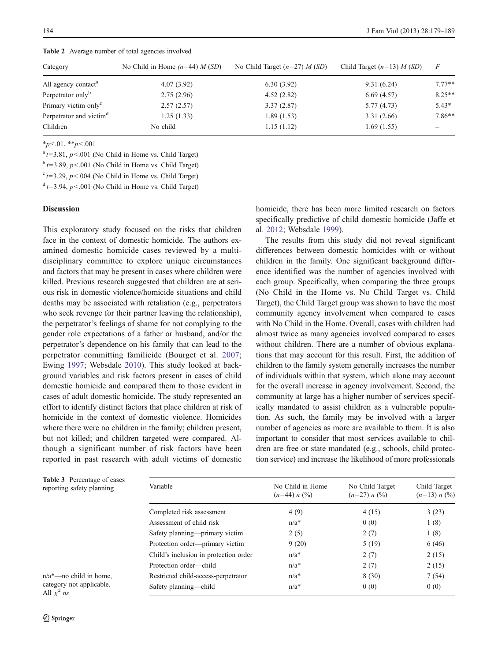| Category                            | No Child in Home $(n=44)$ M (SD) | No Child Target $(n=27)$ <i>M (SD)</i> | Child Target $(n=13)$ M (SD) | F        |
|-------------------------------------|----------------------------------|----------------------------------------|------------------------------|----------|
| All agency contact <sup>a</sup>     | 4.07(3.92)                       | 6.30(3.92)                             | 9.31(6.24)                   | $7.77**$ |
| Perpetrator only <sup>b</sup>       | 2.75(2.96)                       | 4.52(2.82)                             | 6.69(4.57)                   | $8.25**$ |
| Primary victim only <sup>c</sup>    | 2.57(2.57)                       | 3.37(2.87)                             | 5.77(4.73)                   | $5.43*$  |
| Perpetrator and victim <sup>d</sup> | 1.25(1.33)                       | 1.89(1.53)                             | 3.31(2.66)                   | $7.86**$ |
| Children                            | No child                         | 1.15(1.12)                             | 1.69(1.55)                   |          |

<span id="page-5-0"></span>Table 2 Average number of total agencies involved

 $*_{p<.01}$ .  $*_{p<.001}$ 

 $a<sub>t</sub>=3.81, p<.001$  (No Child in Home vs. Child Target)  $b$  t=3.89, p <.001 (No Child in Home vs. Child Target)  $c$  t=3.29, p <.004 (No Child in Home vs. Child Target)

 $d$  t=3.94, p <.001 (No Child in Home vs. Child Target)

#### Discussion

This exploratory study focused on the risks that children face in the context of domestic homicide. The authors examined domestic homicide cases reviewed by a multidisciplinary committee to explore unique circumstances and factors that may be present in cases where children were killed. Previous research suggested that children are at serious risk in domestic violence/homicide situations and child deaths may be associated with retaliation (e.g., perpetrators who seek revenge for their partner leaving the relationship), the perpetrator's feelings of shame for not complying to the gender role expectations of a father or husband, and/or the perpetrator's dependence on his family that can lead to the perpetrator committing familicide (Bourget et al. [2007](#page-9-0); Ewing [1997;](#page-9-0) Websdale [2010](#page-10-0)). This study looked at background variables and risk factors present in cases of child domestic homicide and compared them to those evident in cases of adult domestic homicide. The study represented an effort to identify distinct factors that place children at risk of homicide in the context of domestic violence. Homicides where there were no children in the family; children present, but not killed; and children targeted were compared. Although a significant number of risk factors have been reported in past research with adult victims of domestic

homicide, there has been more limited research on factors specifically predictive of child domestic homicide (Jaffe et al. [2012;](#page-10-0) Websdale [1999\)](#page-10-0).

The results from this study did not reveal significant differences between domestic homicides with or without children in the family. One significant background difference identified was the number of agencies involved with each group. Specifically, when comparing the three groups (No Child in the Home vs. No Child Target vs. Child Target), the Child Target group was shown to have the most community agency involvement when compared to cases with No Child in the Home. Overall, cases with children had almost twice as many agencies involved compared to cases without children. There are a number of obvious explanations that may account for this result. First, the addition of children to the family system generally increases the number of individuals within that system, which alone may account for the overall increase in agency involvement. Second, the community at large has a higher number of services specifically mandated to assist children as a vulnerable population. As such, the family may be involved with a larger number of agencies as more are available to them. It is also important to consider that most services available to children are free or state mandated (e.g., schools, child protection service) and increase the likelihood of more professionals

| Variable                              | No Child in Home<br>$(n=44) n$ (%) | No Child Target<br>$(n=27) n$ (%) | Child Target<br>$(n=13) n$ (%) |
|---------------------------------------|------------------------------------|-----------------------------------|--------------------------------|
| Completed risk assessment             | 4(9)                               | 4(15)                             | 3(23)                          |
| Assessment of child risk              | $n/a^*$                            | 0(0)                              | 1(8)                           |
| Safety planning—primary victim        | 2(5)                               | 2(7)                              | 1(8)                           |
| Protection order—primary victim       | 9(20)                              | 5(19)                             | 6(46)                          |
| Child's inclusion in protection order | $n/a^*$                            | 2(7)                              | 2(15)                          |
| Protection order—child                | $n/a^*$                            | 2(7)                              | 2(15)                          |
| Restricted child-access-perpetrator   | $n/a^*$                            | 8(30)                             | 7(54)                          |
| Safety planning—child                 | $n/a^*$                            | 0(0)                              | 0(0)                           |
|                                       |                                    |                                   |                                |

Table 3 Percentage of cases reporting safety planning

n/a\*—no child in home, category not applicable. All  $\chi^2$  ns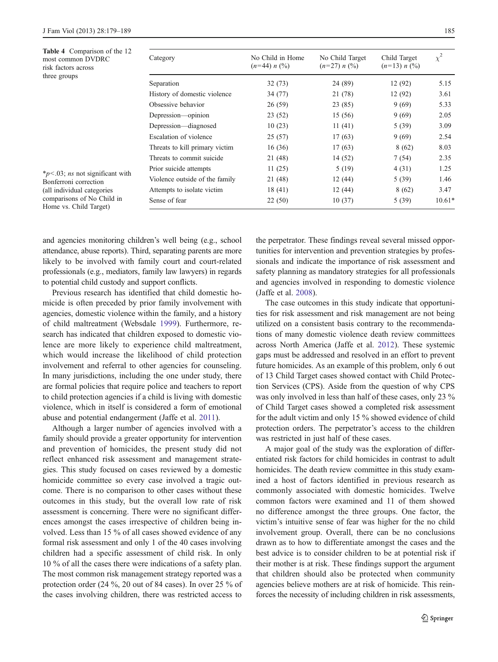<span id="page-6-0"></span>

| <b>Table 4</b> Comparison of the 12<br>most common DVDRC<br>risk factors across | Category                       | No Child in Home<br>$(n=44) n$ (%) | No Child Target<br>$(n=27) n$ (%) | Child Target<br>$(n=13) n$ (%) | $\chi^2$ |
|---------------------------------------------------------------------------------|--------------------------------|------------------------------------|-----------------------------------|--------------------------------|----------|
| three groups                                                                    | Separation                     | 32(73)                             | 24 (89)                           | 12(92)                         | 5.15     |
|                                                                                 | History of domestic violence   | 34 (77)                            | 21 (78)                           | 12(92)                         | 3.61     |
|                                                                                 | Obsessive behavior             | 26(59)                             | 23 (85)                           | 9(69)                          | 5.33     |
|                                                                                 | Depression-opinion             | 23(52)                             | 15(56)                            | 9(69)                          | 2.05     |
|                                                                                 | Depression—diagnosed           | 10(23)                             | 11(41)                            | 5(39)                          | 3.09     |
|                                                                                 | Escalation of violence         | 25(57)                             | 17(63)                            | 9(69)                          | 2.54     |
|                                                                                 | Threats to kill primary victim | 16(36)                             | 17(63)                            | 8(62)                          | 8.03     |

Threats to commit suicide 21 (48) 14 (52) 7 (54) 2.35 Prior suicide attempts  $11 (25)$   $5 (19)$   $4 (31)$   $1.25$ Violence outside of the family  $21 (48)$   $12 (44)$   $5 (39)$   $1.46$ Attempts to isolate victim  $18 (41)$   $12 (44)$   $8 (62)$   $3.47$ Sense of fear 22 (50) 10 (37) 5 (39) 10.61\*

 $*_{p<.03; ns}$  not significant with Bonferroni correction (all individual categories comparisons of No Child in Home vs. Child Target)

and agencies monitoring children's well being (e.g., school attendance, abuse reports). Third, separating parents are more likely to be involved with family court and court-related professionals (e.g., mediators, family law lawyers) in regards to potential child custody and support conflicts.

Previous research has identified that child domestic homicide is often preceded by prior family involvement with agencies, domestic violence within the family, and a history of child maltreatment (Websdale [1999](#page-10-0)). Furthermore, research has indicated that children exposed to domestic violence are more likely to experience child maltreatment, which would increase the likelihood of child protection involvement and referral to other agencies for counseling. In many jurisdictions, including the one under study, there are formal policies that require police and teachers to report to child protection agencies if a child is living with domestic violence, which in itself is considered a form of emotional abuse and potential endangerment (Jaffe et al. [2011\)](#page-10-0).

Although a larger number of agencies involved with a family should provide a greater opportunity for intervention and prevention of homicides, the present study did not reflect enhanced risk assessment and management strategies. This study focused on cases reviewed by a domestic homicide committee so every case involved a tragic outcome. There is no comparison to other cases without these outcomes in this study, but the overall low rate of risk assessment is concerning. There were no significant differences amongst the cases irrespective of children being involved. Less than 15 % of all cases showed evidence of any formal risk assessment and only 1 of the 40 cases involving children had a specific assessment of child risk. In only 10 % of all the cases there were indications of a safety plan. The most common risk management strategy reported was a protection order (24 %, 20 out of 84 cases). In over 25 % of the cases involving children, there was restricted access to the perpetrator. These findings reveal several missed opportunities for intervention and prevention strategies by professionals and indicate the importance of risk assessment and safety planning as mandatory strategies for all professionals and agencies involved in responding to domestic violence (Jaffe et al. [2008\)](#page-9-0).

The case outcomes in this study indicate that opportunities for risk assessment and risk management are not being utilized on a consistent basis contrary to the recommendations of many domestic violence death review committees across North America (Jaffe et al. [2012\)](#page-10-0). These systemic gaps must be addressed and resolved in an effort to prevent future homicides. As an example of this problem, only 6 out of 13 Child Target cases showed contact with Child Protection Services (CPS). Aside from the question of why CPS was only involved in less than half of these cases, only 23 % of Child Target cases showed a completed risk assessment for the adult victim and only 15 % showed evidence of child protection orders. The perpetrator's access to the children was restricted in just half of these cases.

A major goal of the study was the exploration of differentiated risk factors for child homicides in contrast to adult homicides. The death review committee in this study examined a host of factors identified in previous research as commonly associated with domestic homicides. Twelve common factors were examined and 11 of them showed no difference amongst the three groups. One factor, the victim's intuitive sense of fear was higher for the no child involvement group. Overall, there can be no conclusions drawn as to how to differentiate amongst the cases and the best advice is to consider children to be at potential risk if their mother is at risk. These findings support the argument that children should also be protected when community agencies believe mothers are at risk of homicide. This reinforces the necessity of including children in risk assessments,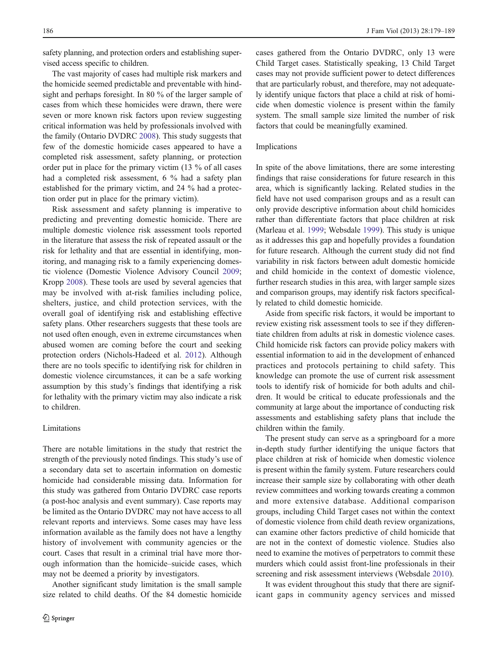safety planning, and protection orders and establishing supervised access specific to children.

The vast majority of cases had multiple risk markers and the homicide seemed predictable and preventable with hindsight and perhaps foresight. In 80 % of the larger sample of cases from which these homicides were drawn, there were seven or more known risk factors upon review suggesting critical information was held by professionals involved with the family (Ontario DVDRC [2008](#page-10-0)). This study suggests that few of the domestic homicide cases appeared to have a completed risk assessment, safety planning, or protection order put in place for the primary victim (13 % of all cases had a completed risk assessment, 6 % had a safety plan established for the primary victim, and 24 % had a protection order put in place for the primary victim).

Risk assessment and safety planning is imperative to predicting and preventing domestic homicide. There are multiple domestic violence risk assessment tools reported in the literature that assess the risk of repeated assault or the risk for lethality and that are essential in identifying, monitoring, and managing risk to a family experiencing domestic violence (Domestic Violence Advisory Council [2009](#page-9-0); Kropp [2008](#page-10-0)). These tools are used by several agencies that may be involved with at-risk families including police, shelters, justice, and child protection services, with the overall goal of identifying risk and establishing effective safety plans. Other researchers suggests that these tools are not used often enough, even in extreme circumstances when abused women are coming before the court and seeking protection orders (Nichols-Hadeed et al. [2012\)](#page-10-0). Although there are no tools specific to identifying risk for children in domestic violence circumstances, it can be a safe working assumption by this study's findings that identifying a risk for lethality with the primary victim may also indicate a risk to children.

### Limitations

There are notable limitations in the study that restrict the strength of the previously noted findings. This study's use of a secondary data set to ascertain information on domestic homicide had considerable missing data. Information for this study was gathered from Ontario DVDRC case reports (a post-hoc analysis and event summary). Case reports may be limited as the Ontario DVDRC may not have access to all relevant reports and interviews. Some cases may have less information available as the family does not have a lengthy history of involvement with community agencies or the court. Cases that result in a criminal trial have more thorough information than the homicide–suicide cases, which may not be deemed a priority by investigators.

Another significant study limitation is the small sample size related to child deaths. Of the 84 domestic homicide cases gathered from the Ontario DVDRC, only 13 were Child Target cases. Statistically speaking, 13 Child Target cases may not provide sufficient power to detect differences that are particularly robust, and therefore, may not adequately identify unique factors that place a child at risk of homicide when domestic violence is present within the family system. The small sample size limited the number of risk factors that could be meaningfully examined.

#### Implications

In spite of the above limitations, there are some interesting findings that raise considerations for future research in this area, which is significantly lacking. Related studies in the field have not used comparison groups and as a result can only provide descriptive information about child homicides rather than differentiate factors that place children at risk (Marleau et al. [1999](#page-10-0); Websdale [1999](#page-10-0)). This study is unique as it addresses this gap and hopefully provides a foundation for future research. Although the current study did not find variability in risk factors between adult domestic homicide and child homicide in the context of domestic violence, further research studies in this area, with larger sample sizes and comparison groups, may identify risk factors specifically related to child domestic homicide.

Aside from specific risk factors, it would be important to review existing risk assessment tools to see if they differentiate children from adults at risk in domestic violence cases. Child homicide risk factors can provide policy makers with essential information to aid in the development of enhanced practices and protocols pertaining to child safety. This knowledge can promote the use of current risk assessment tools to identify risk of homicide for both adults and children. It would be critical to educate professionals and the community at large about the importance of conducting risk assessments and establishing safety plans that include the children within the family.

The present study can serve as a springboard for a more in-depth study further identifying the unique factors that place children at risk of homicide when domestic violence is present within the family system. Future researchers could increase their sample size by collaborating with other death review committees and working towards creating a common and more extensive database. Additional comparison groups, including Child Target cases not within the context of domestic violence from child death review organizations, can examine other factors predictive of child homicide that are not in the context of domestic violence. Studies also need to examine the motives of perpetrators to commit these murders which could assist front-line professionals in their screening and risk assessment interviews (Websdale [2010](#page-10-0)).

It was evident throughout this study that there are significant gaps in community agency services and missed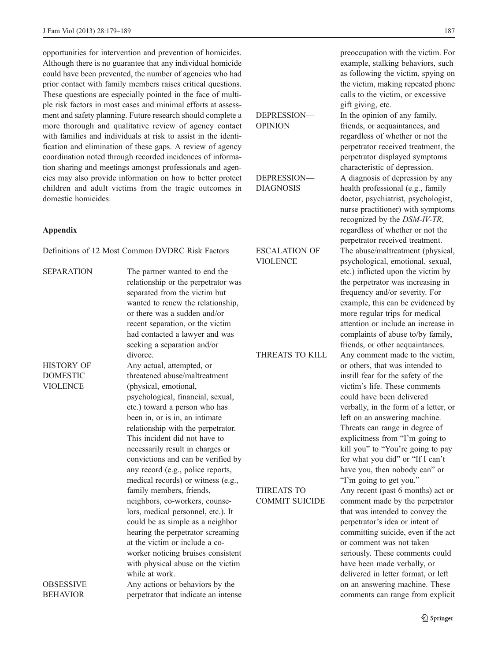<span id="page-8-0"></span>opportunities for intervention and prevention of homicides. Although there is no guarantee that any individual homicide could have been prevented, the number of agencies who had prior contact with family members raises critical questions. These questions are especially pointed in the face of multiple risk factors in most cases and minimal efforts at assessment and safety planning. Future research should complete a more thorough and qualitative review of agency contact with families and individuals at risk to assist in the identification and elimination of these gaps. A review of agency coordination noted through recorded incidences of information sharing and meetings amongst professionals and agencies may also provide information on how to better protect children and adult victims from the tragic outcomes in domestic homicides.

#### Appendix

Definitions of 12 Most Common DVDRC Risk Factors

SEPARATION The partner wanted to end the relationship or the perpetrator was separated from the victim but wanted to renew the relationship, or there was a sudden and/or recent separation, or the victim had contacted a lawyer and was seeking a separation and/or divorce. HISTORY OF DOMESTIC **VIOLENCE** Any actual, attempted, or threatened abuse/maltreatment (physical, emotional, psychological, financial, sexual, etc.) toward a person who has been in, or is in, an intimate relationship with the perpetrator. This incident did not have to necessarily result in charges or convictions and can be verified by any record (e.g., police reports, medical records) or witness (e.g., family members, friends, neighbors, co-workers, counselors, medical personnel, etc.). It could be as simple as a neighbor hearing the perpetrator screaming at the victim or include a coworker noticing bruises consistent with physical abuse on the victim while at work. OBSESSIVE BEHAVIOR Any actions or behaviors by the

perpetrator that indicate an intense

ESCALATION OF VIOLENCE

DEPRESSION— OPINION

DEPRESSION— DIAGNOSIS

THREATS TO COMMIT SUICIDE

# preoccupation with the victim. For example, stalking behaviors, such as following the victim, spying on the victim, making repeated phone calls to the victim, or excessive gift giving, etc.

In the opinion of any family, friends, or acquaintances, and regardless of whether or not the perpetrator received treatment, the perpetrator displayed symptoms characteristic of depression. A diagnosis of depression by any health professional (e.g., family doctor, psychiatrist, psychologist, nurse practitioner) with symptoms recognized by the DSM-IV-TR, regardless of whether or not the perpetrator received treatment. The abuse/maltreatment (physical, psychological, emotional, sexual, etc.) inflicted upon the victim by the perpetrator was increasing in frequency and/or severity. For example, this can be evidenced by more regular trips for medical attention or include an increase in complaints of abuse to/by family, friends, or other acquaintances. THREATS TO KILL Any comment made to the victim, or others, that was intended to instill fear for the safety of the victim's life. These comments could have been delivered verbally, in the form of a letter, or left on an answering machine. Threats can range in degree of explicitness from "I'm going to kill you" to "You're going to pay for what you did" or "If I can't have you, then nobody can" or "I'm going to get you." Any recent (past 6 months) act or comment made by the perpetrator that was intended to convey the perpetrator's idea or intent of committing suicide, even if the act or comment was not taken seriously. These comments could have been made verbally, or delivered in letter format, or left on an answering machine. These comments can range from explicit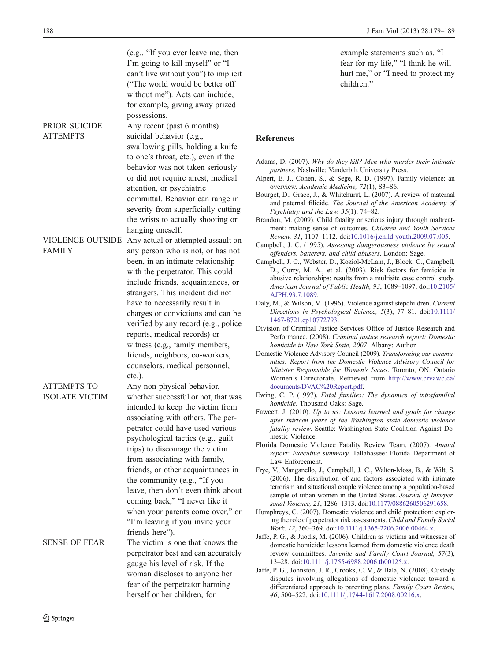<span id="page-9-0"></span>

|                                  | (e.g., "If you ever leave me, then<br>I'm going to kill myself" or "I<br>can't live without you") to implicit<br>("The world would be better off<br>without me"). Acts can include,<br>for example, giving away prized<br>possessions. |   |
|----------------------------------|----------------------------------------------------------------------------------------------------------------------------------------------------------------------------------------------------------------------------------------|---|
| PRIOR SUICIDE<br><b>ATTEMPTS</b> | Any recent (past 6 months)<br>suicidal behavior (e.g.,                                                                                                                                                                                 |   |
|                                  | swallowing pills, holding a knife<br>to one's throat, etc.), even if the<br>behavior was not taken seriously                                                                                                                           |   |
|                                  | or did not require arrest, medical                                                                                                                                                                                                     |   |
|                                  | attention, or psychiatric<br>committal. Behavior can range in<br>severity from superficially cutting                                                                                                                                   | I |
|                                  | the wrists to actually shooting or<br>hanging oneself.                                                                                                                                                                                 | I |
| VIOLENCE OUTSIDE                 | Any actual or attempted assault on                                                                                                                                                                                                     |   |
| <b>FAMILY</b>                    | any person who is not, or has not<br>been, in an intimate relationship                                                                                                                                                                 | ( |
|                                  | with the perpetrator. This could<br>include friends, acquaintances, or                                                                                                                                                                 |   |
|                                  | strangers. This incident did not<br>have to necessarily result in                                                                                                                                                                      |   |
|                                  | charges or convictions and can be                                                                                                                                                                                                      | I |
|                                  | verified by any record (e.g., police                                                                                                                                                                                                   | I |
|                                  | reports, medical records) or                                                                                                                                                                                                           |   |
|                                  | witness (e.g., family members,                                                                                                                                                                                                         | I |
|                                  | friends, neighbors, co-workers,<br>counselors, medical personnel,<br>$etc.$ ).                                                                                                                                                         |   |
| <b>ATTEMPTS TO</b>               | Any non-physical behavior,                                                                                                                                                                                                             |   |
| <b>ISOLATE VICTIM</b>            | whether successful or not, that was                                                                                                                                                                                                    | I |
|                                  | intended to keep the victim from<br>associating with others. The per-                                                                                                                                                                  | I |
|                                  | petrator could have used various<br>psychological tactics (e.g., guilt                                                                                                                                                                 |   |
|                                  | trips) to discourage the victim                                                                                                                                                                                                        | I |
|                                  | from associating with family,                                                                                                                                                                                                          |   |
|                                  | friends, or other acquaintances in                                                                                                                                                                                                     | I |
|                                  | the community (e.g., "If you<br>leave, then don't even think about                                                                                                                                                                     |   |
|                                  | coming back," "I never like it                                                                                                                                                                                                         |   |
|                                  | when your parents come over," or                                                                                                                                                                                                       | I |
|                                  | "I'm leaving if you invite your<br>friends here").                                                                                                                                                                                     |   |
| <b>SENSE OF FEAR</b>             | The victim is one that knows the                                                                                                                                                                                                       |   |
|                                  | perpetrator best and can accurately                                                                                                                                                                                                    |   |
|                                  | gauge his level of risk. If the<br>woman discloses to anyone her                                                                                                                                                                       |   |
|                                  | fear of the perpetrator harming<br>herself or her children, for                                                                                                                                                                        |   |
|                                  |                                                                                                                                                                                                                                        |   |

example statements such as, "I fear for my life," "I think he will hurt me," or "I need to protect my children."

#### References

- Adams, D. (2007). Why do they kill? Men who murder their intimate partners. Nashville: Vanderbilt University Press.
- Alpert, E. J., Cohen, S., & Sege, R. D. (1997). Family violence: an overview. Academic Medicine, 72(1), S3–S6.
- Bourget, D., Grace, J., & Whitehurst, L. (2007). A review of maternal and paternal filicide. The Journal of the American Academy of Psychiatry and the Law, 35(1), 74–82.
- Brandon, M. (2009). Child fatality or serious injury through maltreatment: making sense of outcomes. Children and Youth Services Review, 31, 1107–1112. doi[:10.1016/j.child youth.2009.07.005.](http://dx.doi.org/10.1016/j.childyouth.2009.07.005)
- Campbell, J. C. (1995). Assessing dangerousness violence by sexual offenders, batterers, and child abusers. London: Sage.
- Campbell, J. C., Webster, D., Koziol-McLain, J., Block, C., Campbell, D., Curry, M. A., et al. (2003). Risk factors for femicide in abusive relationships: results from a multisite case control study. American Journal of Public Health, 93, 1089–1097. doi[:10.2105/](http://dx.doi.org/10.2105/AJPH.93.7.1089) [AJPH.93.7.1089](http://dx.doi.org/10.2105/AJPH.93.7.1089).
- Daly, M., & Wilson, M. (1996). Violence against stepchildren. Current Directions in Psychological Science, 5(3), 77–81. doi[:10.1111/](http://dx.doi.org/10.1111/1467-8721.ep10772793) [1467-8721.ep10772793.](http://dx.doi.org/10.1111/1467-8721.ep10772793)
- Division of Criminal Justice Services Office of Justice Research and Performance. (2008). Criminal justice research report: Domestic homicide in New York State, 2007. Albany: Author.
- Domestic Violence Advisory Council (2009). Transforming our communities: Report from the Domestic Violence Advisory Council for Minister Responsible for Women's Issues. Toronto, ON: Ontario Women's Directorate. Retrieved from [http://www.crvawc.ca/](http://www.crvawc.ca/documents/DVAC%20Report.pdf) [documents/DVAC%20Report.pdf.](http://www.crvawc.ca/documents/DVAC%20Report.pdf)
- Ewing, C. P. (1997). Fatal families: The dynamics of intrafamilial homicide. Thousand Oaks: Sage.
- Fawcett, J. (2010). Up to us: Lessons learned and goals for change after thirteen years of the Washington state domestic violence fatality review. Seattle: Washington State Coalition Against Domestic Violence.
- Florida Domestic Violence Fatality Review Team. (2007). Annual report: Executive summary. Tallahassee: Florida Department of Law Enforcement.
- Frye, V., Manganello, J., Campbell, J. C., Walton-Moss, B., & Wilt, S. (2006). The distribution of and factors associated with intimate terrorism and situational couple violence among a population-based sample of urban women in the United States. Journal of Interpersonal Violence, 21, 1286–1313. doi:[10.1177/0886260506291658.](http://dx.doi.org/10.1177/0886260506291658)
- Humphreys, C. (2007). Domestic violence and child protection: exploring the role of perpetrator risk assessments. Child and Family Social Work, 12, 360–369. doi[:10.1111/j.1365-2206.2006.00464.x.](http://dx.doi.org/10.1111/j.1365-2206.2006.00464.x)
- $I$ affe, P. G., & Juodis, M. (2006). Children as victims and witnesses of domestic homicide: lessons learned from domestic violence death review committees. Juvenile and Family Court Journal, 57(3), 13–28. doi:[10.1111/j.1755-6988.2006.tb00125.x](http://dx.doi.org/10.1111/j.1755-6988.2006.tb00125.x).
- affe, P. G., Johnston, J. R., Crooks, C. V., & Bala, N. (2008). Custody disputes involving allegations of domestic violence: toward a differentiated approach to parenting plans. Family Court Review, 46, 500–522. doi:[10.1111/j.1744-1617.2008.00216.x](http://dx.doi.org/10.1111/j.1744-1617.2008.00216.x).